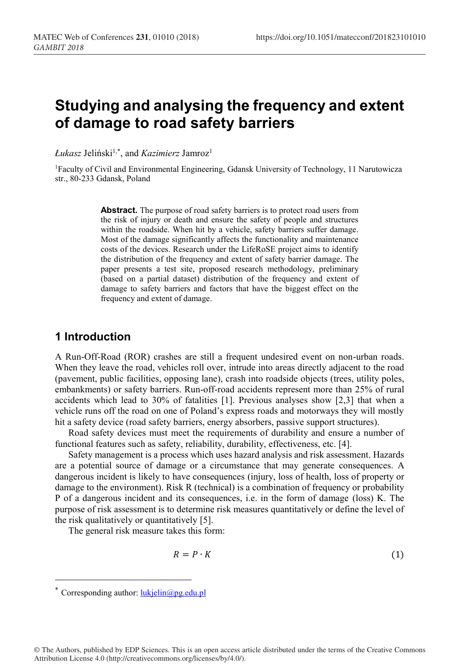# **Studying and analysing the frequency and extent of damage to road safety barriers**

 $\mu$ *kukasz* Jeliński<sup>1,\*</sup>, and *Kazimierz* Jamroz<sup>1</sup>

1 Faculty of Civil and Environmental Engineering, Gdansk University of Technology, 11 Narutowicza str., 80-233 Gdansk, Poland

> Abstract. The purpose of road safety barriers is to protect road users from the risk of injury or death and ensure the safety of people and structures within the roadside. When hit by a vehicle, safety barriers suffer damage. Most of the damage significantly affects the functionality and maintenance costs of the devices. Research under the LifeRoSE project aims to identify the distribution of the frequency and extent of safety barrier damage. The paper presents a test site, proposed research methodology, preliminary (based on a partial dataset) distribution of the frequency and extent of damage to safety barriers and factors that have the biggest effect on the frequency and extent of damage.

### **1 Introduction**

A Run-Off-Road (ROR) crashes are still a frequent undesired event on non-urban roads. When they leave the road, vehicles roll over, intrude into areas directly adjacent to the road (pavement, public facilities, opposing lane), crash into roadside objects (trees, utility poles, embankments) or safety barriers. Run-off-road accidents represent more than 25% of rural accidents which lead to 30% of fatalities [1]. Previous analyses show [2,3] that when a vehicle runs off the road on one of Poland's express roads and motorways they will mostly hit a safety device (road safety barriers, energy absorbers, passive support structures).

Road safety devices must meet the requirements of durability and ensure a number of functional features such as safety, reliability, durability, effectiveness, etc. [4].

Safety management is a process which uses hazard analysis and risk assessment. Hazards are a potential source of damage or a circumstance that may generate consequences. A dangerous incident is likely to have consequences (injury, loss of health, loss of property or damage to the environment). Risk R (technical) is a combination of frequency or probability P of a dangerous incident and its consequences, i.e. in the form of damage (loss) K. The purpose of risk assessment is to determine risk measures quantitatively or define the level of the risk qualitatively or quantitatively [5].

The general risk measure takes this form:

$$
R = P \cdot K \tag{1}
$$

-

<sup>\*</sup> Corresponding author: *lukjelin@pg.edu.pl* 

<sup>©</sup> The Authors, published by EDP Sciences. This is an open access article distributed under the terms of the Creative Commons Attribution License 4.0 (http://creativecommons.org/licenses/by/4.0/).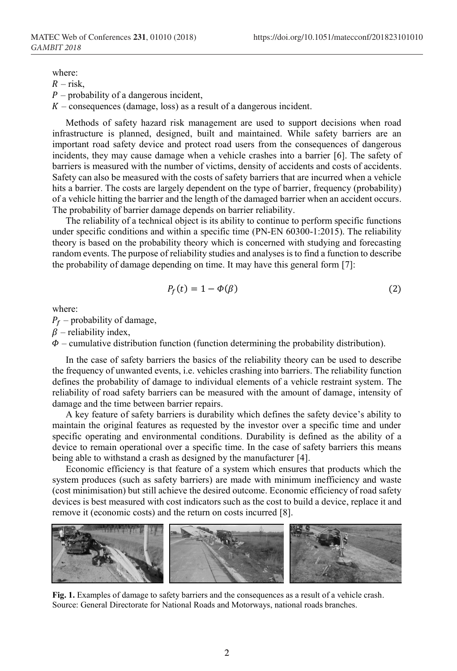where:

 $R$  – risk,

 $P$  – probability of a dangerous incident,

 $K$  – consequences (damage, loss) as a result of a dangerous incident.

Methods of safety hazard risk management are used to support decisions when road infrastructure is planned, designed, built and maintained. While safety barriers are an important road safety device and protect road users from the consequences of dangerous incidents, they may cause damage when a vehicle crashes into a barrier [6]. The safety of barriers is measured with the number of victims, density of accidents and costs of accidents. Safety can also be measured with the costs of safety barriers that are incurred when a vehicle hits a barrier. The costs are largely dependent on the type of barrier, frequency (probability) of a vehicle hitting the barrier and the length of the damaged barrier when an accident occurs. The probability of barrier damage depends on barrier reliability.

The reliability of a technical object is its ability to continue to perform specific functions under specific conditions and within a specific time (PN-EN 60300-1:2015). The reliability theory is based on the probability theory which is concerned with studying and forecasting random events. The purpose of reliability studies and analyses is to find a function to describe the probability of damage depending on time. It may have this general form [7]:

$$
P_f(t) = 1 - \Phi(\beta) \tag{2}
$$

where:

 $P_f$  – probability of damage,

 $\beta$  – reliability index,

 $\Phi$  – cumulative distribution function (function determining the probability distribution).

In the case of safety barriers the basics of the reliability theory can be used to describe the frequency of unwanted events, i.e. vehicles crashing into barriers. The reliability function defines the probability of damage to individual elements of a vehicle restraint system. The reliability of road safety barriers can be measured with the amount of damage, intensity of damage and the time between barrier repairs.

A key feature of safety barriers is durability which defines the safety device's ability to maintain the original features as requested by the investor over a specific time and under specific operating and environmental conditions. Durability is defined as the ability of a device to remain operational over a specific time. In the case of safety barriers this means being able to withstand a crash as designed by the manufacturer [4].

Economic efficiency is that feature of a system which ensures that products which the system produces (such as safety barriers) are made with minimum inefficiency and waste (cost minimisation) but still achieve the desired outcome. Economic efficiency of road safety devices is best measured with cost indicators such as the cost to build a device, replace it and remove it (economic costs) and the return on costs incurred [8].



**Fig. 1.** Examples of damage to safety barriers and the consequences as a result of a vehicle crash. Source: General Directorate for National Roads and Motorways, national roads branches.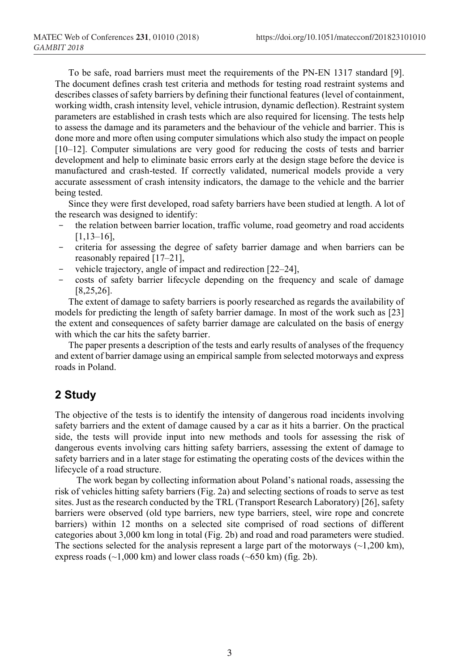To be safe, road barriers must meet the requirements of the PN-EN 1317 standard [9]. The document defines crash test criteria and methods for testing road restraint systems and describes classes of safety barriers by defining their functional features (level of containment, working width, crash intensity level, vehicle intrusion, dynamic deflection). Restraint system parameters are established in crash tests which are also required for licensing. The tests help to assess the damage and its parameters and the behaviour of the vehicle and barrier. This is done more and more often using computer simulations which also study the impact on people [10–12]. Computer simulations are very good for reducing the costs of tests and barrier development and help to eliminate basic errors early at the design stage before the device is manufactured and crash-tested. If correctly validated, numerical models provide a very accurate assessment of crash intensity indicators, the damage to the vehicle and the barrier being tested.

Since they were first developed, road safety barriers have been studied at length. A lot of the research was designed to identify:

- the relation between barrier location, traffic volume, road geometry and road accidents  $[1,13-16]$ ,
- criteria for assessing the degree of safety barrier damage and when barriers can be reasonably repaired [17–21],
- vehicle trajectory, angle of impact and redirection [22–24],<br>- costs of safety barrier lifecycle depending on the frequency
- costs of safety barrier lifecycle depending on the frequency and scale of damage [8,25,26].

The extent of damage to safety barriers is poorly researched as regards the availability of models for predicting the length of safety barrier damage. In most of the work such as [23] the extent and consequences of safety barrier damage are calculated on the basis of energy with which the car hits the safety barrier.

The paper presents a description of the tests and early results of analyses of the frequency and extent of barrier damage using an empirical sample from selected motorways and express roads in Poland.

## **2 Study**

The objective of the tests is to identify the intensity of dangerous road incidents involving safety barriers and the extent of damage caused by a car as it hits a barrier. On the practical side, the tests will provide input into new methods and tools for assessing the risk of dangerous events involving cars hitting safety barriers, assessing the extent of damage to safety barriers and in a later stage for estimating the operating costs of the devices within the lifecycle of a road structure.

The work began by collecting information about Poland's national roads, assessing the risk of vehicles hitting safety barriers (Fig. 2a) and selecting sections of roads to serve as test sites. Just as the research conducted by the TRL (Transport Research Laboratory) [26], safety barriers were observed (old type barriers, new type barriers, steel, wire rope and concrete barriers) within 12 months on a selected site comprised of road sections of different categories about 3,000 km long in total (Fig. 2b) and road and road parameters were studied. The sections selected for the analysis represent a large part of the motorways  $(\sim 1,200 \text{ km})$ , express roads  $(\sim 1,000 \text{ km})$  and lower class roads  $(\sim 650 \text{ km})$  (fig. 2b).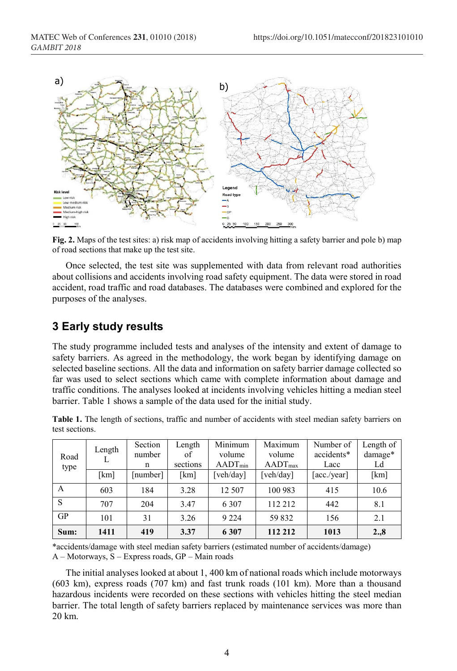

**Fig. 2.** Maps of the test sites: a) risk map of accidents involving hitting a safety barrier and pole b) map of road sections that make up the test site.

Once selected, the test site was supplemented with data from relevant road authorities about collisions and accidents involving road safety equipment. The data were stored in road accident, road traffic and road databases. The databases were combined and explored for the purposes of the analyses.

## **3 Early study results**

The study programme included tests and analyses of the intensity and extent of damage to safety barriers. As agreed in the methodology, the work began by identifying damage on selected baseline sections. All the data and information on safety barrier damage collected so far was used to select sections which came with complete information about damage and traffic conditions. The analyses looked at incidents involving vehicles hitting a median steel barrier. Table 1 shows a sample of the data used for the initial study.

**Table 1.** The length of sections, traffic and number of accidents with steel median safety barriers on test sections.

| Road<br>type | Length | Section     | Length         | Minimum                | Maximum                       | Number of          | Length of     |
|--------------|--------|-------------|----------------|------------------------|-------------------------------|--------------------|---------------|
|              |        | number<br>n | of<br>sections | volume<br>$AADT_{min}$ | volume<br>AADT <sub>max</sub> | accidents*<br>Lacc | damage*<br>Ld |
|              | [km]   | [number]    | [km]           | [veh/day]              | [veh/day]                     | [acc./year]        | [km]          |
| A            | 603    | 184         | 3.28           | 12 507                 | 100 983                       | 415                | 10.6          |
| S            | 707    | 204         | 3.47           | 6 3 0 7                | 112 212                       | 442                | 8.1           |
| GP           | 101    | 31          | 3.26           | 9 2 2 4                | 59 832                        | 156                | 2.1           |
| Sum:         | 1411   | 419         | 3.37           | 6 3 0 7                | 112 212                       | 1013               | 2.,8          |

\*accidents/damage with steel median safety barriers (estimated number of accidents/damage) A – Motorways, S – Express roads, GP – Main roads

The initial analyses looked at about 1, 400 km of national roads which include motorways (603 km), express roads (707 km) and fast trunk roads (101 km). More than a thousand hazardous incidents were recorded on these sections with vehicles hitting the steel median barrier. The total length of safety barriers replaced by maintenance services was more than 20 km.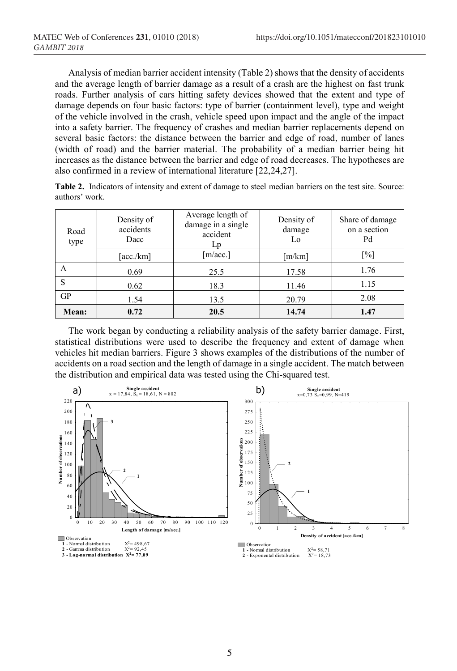Analysis of median barrier accident intensity (Table 2) shows that the density of accidents and the average length of barrier damage as a result of a crash are the highest on fast trunk roads. Further analysis of cars hitting safety devices showed that the extent and type of damage depends on four basic factors: type of barrier (containment level), type and weight of the vehicle involved in the crash, vehicle speed upon impact and the angle of the impact into a safety barrier. The frequency of crashes and median barrier replacements depend on several basic factors: the distance between the barrier and edge of road, number of lanes (width of road) and the barrier material. The probability of a median barrier being hit increases as the distance between the barrier and edge of road decreases. The hypotheses are also confirmed in a review of international literature [22,24,27].

**Table 2.** Indicators of intensity and extent of damage to steel median barriers on the test site. Source: authors' work.

| Road<br>type | Density of<br>accidents<br>Dacc | Average length of<br>damage in a single<br>accident<br>Lp | Density of<br>damage<br>Lo | Share of damage<br>on a section<br>Pd |
|--------------|---------------------------------|-----------------------------------------------------------|----------------------------|---------------------------------------|
|              | [acc./km]                       | [m/acc.]                                                  | $\lceil m/km \rceil$       | [%]                                   |
| A            | 0.69                            | 25.5                                                      | 17.58                      | 1.76                                  |
| S            | 0.62                            | 18.3                                                      | 11.46                      | 1.15                                  |
| <b>GP</b>    | 1.54                            | 13.5                                                      | 20.79                      | 2.08                                  |
| Mean:        | 0.72                            | 20.5                                                      | 14.74                      | 1.47                                  |

The work began by conducting a reliability analysis of the safety barrier damage. First, statistical distributions were used to describe the frequency and extent of damage when vehicles hit median barriers. Figure 3 shows examples of the distributions of the number of accidents on a road section and the length of damage in a single accident. The match between the distribution and empirical data was tested using the Chi-squared test.

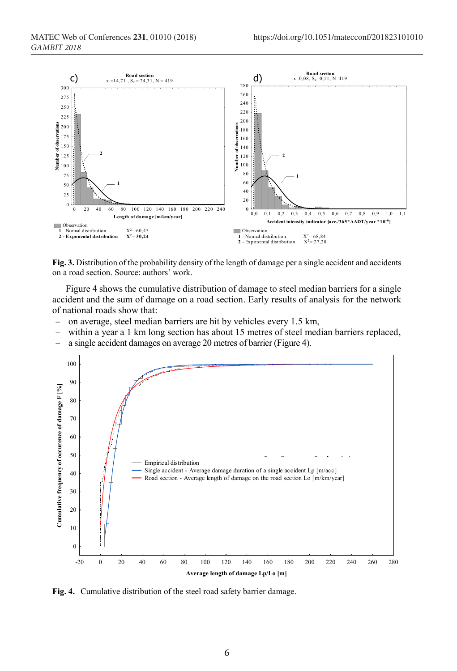

**Fig. 3.** Distribution of the probability density of the length of damage per a single accident and accidents on a road section. Source: authors' work.

Figure 4 shows the cumulative distribution of damage to steel median barriers for a single accident and the sum of damage on a road section. Early results of analysis for the network 80 of national roads show that:

- − on average, steel median barriers are hit by vehicles every 1.5 km, 70
- − within a year a 1 km long section has about 15 metres of steel median barriers replaced, 60



**Fig. 4.** Cumulative distribution of the steel road safety barrier damage.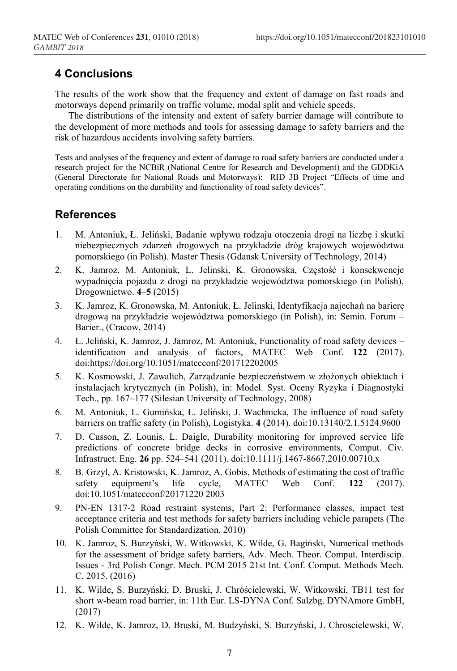#### **4 Conclusions**

The results of the work show that the frequency and extent of damage on fast roads and motorways depend primarily on traffic volume, modal split and vehicle speeds.

The distributions of the intensity and extent of safety barrier damage will contribute to the development of more methods and tools for assessing damage to safety barriers and the risk of hazardous accidents involving safety barriers.

Tests and analyses of the frequency and extent of damage to road safety barriers are conducted under a research project for the NCBiR (National Centre for Research and Development) and the GDDKiA (General Directorate for National Roads and Motorways): RID 3B Project "Effects of time and operating conditions on the durability and functionality of road safety devices".

#### **References**

- 1. M. Antoniuk, Ł. Jeliński, Badanie wpływu rodzaju otoczenia drogi na liczbę i skutki niebezpiecznych zdarzeń drogowych na przykładzie dróg krajowych województwa pomorskiego (in Polish). Master Thesis (Gdansk University of Technology, 2014)
- 2. K. Jamroz, M. Antoniuk, L. Jelinski, K. Gronowska, Częstość i konsekwencje wypadnięcia pojazdu z drogi na przykładzie województwa pomorskiego (in Polish), Drogownictwo. **4**–**5** (2015)
- 3. K. Jamroz, K. Gronowska, M. Antoniuk, Ł. Jelinski, Identyfikacja najechań na barierę drogową na przykładzie województwa pomorskiego (in Polish), in: Semin. Forum – Barier., (Cracow, 2014)
- 4. Ł. Jeliński, K. Jamroz, J. Jamroz, M. Antoniuk, Functionality of road safety devices identification and analysis of factors, MATEC Web Conf. **122** (2017). doi:https://doi.org/10.1051/matecconf/201712202005
- 5. K. Kosmowski, J. Zawalich, Zarządzanie bezpieczeństwem w złożonych obiektach i instalacjach krytycznych (in Polish), in: Model. Syst. Oceny Ryzyka i Diagnostyki Tech., pp. 167–177 (Silesian University of Technology, 2008)
- 6. M. Antoniuk, L. Gumińska, Ł. Jeliński, J. Wachnicka, The influence of road safety barriers on traffic safety (in Polish), Logistyka. **4** (2014). doi:10.13140/2.1.5124.9600
- 7. D. Cusson, Z. Lounis, L. Daigle, Durability monitoring for improved service life predictions of concrete bridge decks in corrosive environments, Comput. Civ. Infrastruct. Eng. **26** pp. 524–541 (2011). doi:10.1111/j.1467-8667.2010.00710.x
- 8. B. Grzyl, A. Kristowski, K. Jamroz, A. Gobis, Methods of estimating the cost of traffic safety equipment's life cycle, MATEC Web Conf. **122** (2017). doi:10.1051/matecconf/20171220 2003
- 9. PN-EN 1317-2 Road restraint systems, Part 2: Performance classes, impact test acceptance criteria and test methods for safety barriers including vehicle parapets (The Polish Committee for Standardization, 2010)
- 10. K. Jamroz, S. Burzyński, W. Witkowski, K. Wilde, G. Bagiński, Numerical methods for the assessment of bridge safety barriers, Adv. Mech. Theor. Comput. Interdiscip. Issues - 3rd Polish Congr. Mech. PCM 2015 21st Int. Conf. Comput. Methods Mech. C. 2015. (2016)
- 11. K. Wilde, S. Burzyński, D. Bruski, J. Chróścielewski, W. Witkowski, TB11 test for short w-beam road barrier, in: 11th Eur. LS-DYNA Conf. Salzbg. DYNAmore GmbH, (2017)
- 12. K. Wilde, K. Jamroz, D. Bruski, M. Budzyński, S. Burzyński, J. Chroscielewski, W.